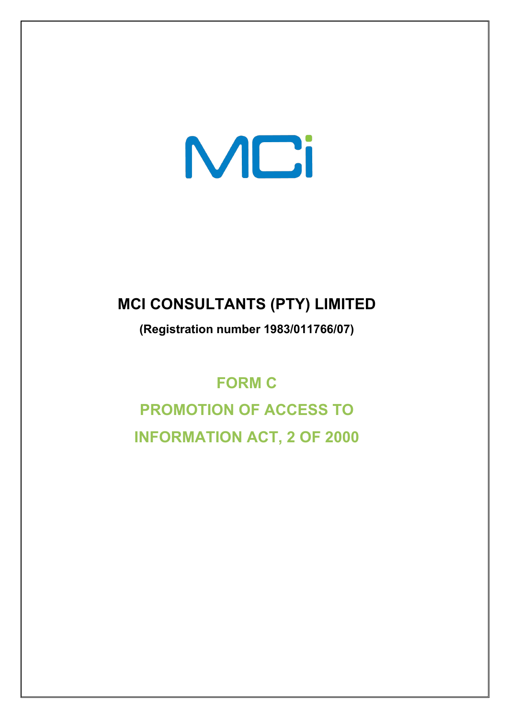# MCi

# **MCI CONSULTANTS (PTY) LIMITED**

**(Registration number 1983/011766/07)** 

# **FORM C**

**PROMOTION OF ACCESS TO INFORMATION ACT, 2 OF 2000**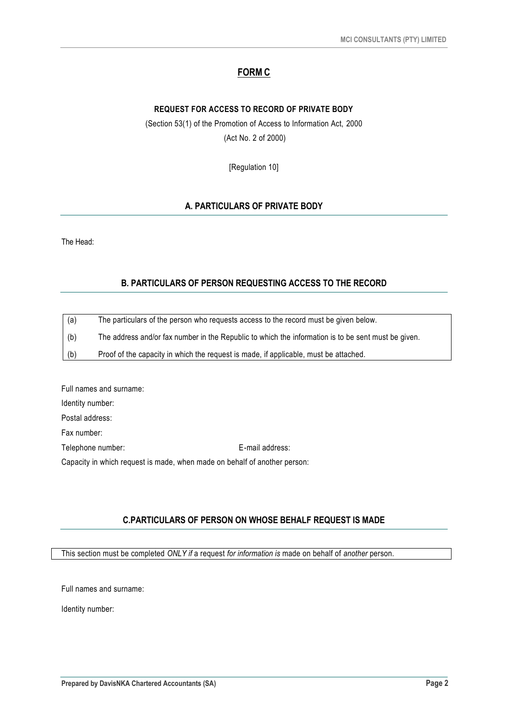# **FORM C**

#### **REQUEST FOR ACCESS TO RECORD OF PRIVATE BODY**

(Section 53(1) of the Promotion of Access to Information Act, 2000 (Act No. 2 of 2000)

[Regulation 10]

#### **A. PARTICULARS OF PRIVATE BODY**

The Head:

#### **B. PARTICULARS OF PERSON REQUESTING ACCESS TO THE RECORD**

| (a) | The particulars of the person who requests access to the record must be given below.                |
|-----|-----------------------------------------------------------------------------------------------------|
| (b) | The address and/or fax number in the Republic to which the information is to be sent must be given. |
| (b) | Proof of the capacity in which the request is made, if applicable, must be attached.                |

Full names and surname: Identity number: Postal address: Fax number: Telephone number: E-mail address: Capacity in which request is made, when made on behalf of another person:

#### **C.PARTICULARS OF PERSON ON WHOSE BEHALF REQUEST IS MADE**

This section must be completed *ONLY if* a request *for information is* made on behalf of *another* person.

Full names and surname:

Identity number: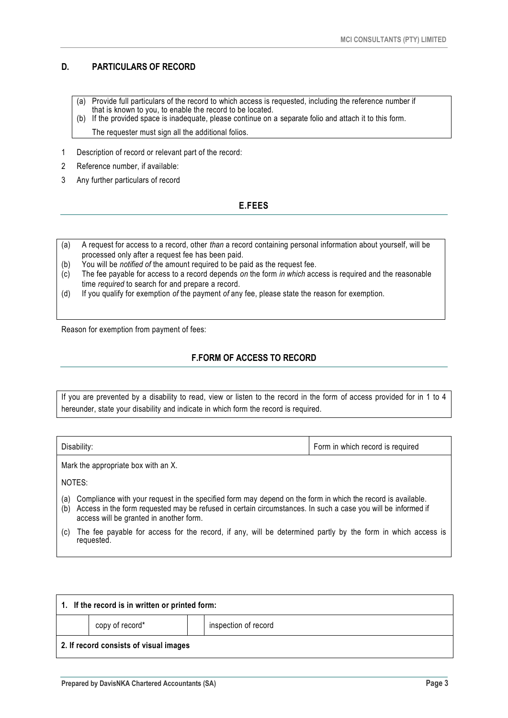# **D. PARTICULARS OF RECORD**

- (a) Provide full particulars of the record to which access is requested, including the reference number if that is known to you, to enable the record to be located.
- (b) If the provided space is inadequate, please continue on a separate folio and attach it to this form.

The requester must sign all the additional folios.

- 1 Description of record or relevant part of the record:
- 2 Reference number, if available:
- 3 Any further particulars of record

# **E.FEES**

- (a) A request for access to a record, other *than* a record containing personal information about yourself, will be processed only after a request fee has been paid.
- (b) You will be *notified of* the amount required to be paid as the request fee.
- (c) The fee payable for access to a record depends *on* the form *in which* access is required and the reasonable time *required* to search for and prepare a record.
- (d) If you qualify for exemption *of* the payment *of* any fee, please state the reason for exemption.

Reason for exemption from payment of fees:

# **F.FORM OF ACCESS TO RECORD**

If you are prevented by a disability to read, view or listen to the record in the form of access provided for in 1 to 4 hereunder, state your disability and indicate in which form the record is required.

| Disability: |   | Form in which record is required |  |
|-------------|---|----------------------------------|--|
| .           | . |                                  |  |

Mark the appropriate box with an X.

NOTES:

- (a) Compliance with your request in the specified form may depend on the form in which the record is available.
- (b) Access in the form requested may be refused in certain circumstances. In such a case you will be informed if access will be granted in another form.
- (c) The fee payable for access for the record, if any, will be determined partly by the form in which access is requested.

| 1. If the record is in written or printed form: |                 |  |                      |  |  |  |
|-------------------------------------------------|-----------------|--|----------------------|--|--|--|
|                                                 | copy of record* |  | inspection of record |  |  |  |
| 2. If record consists of visual images          |                 |  |                      |  |  |  |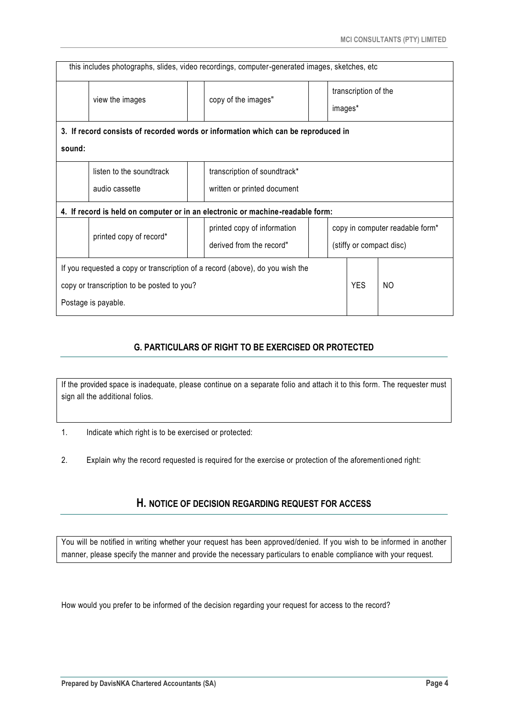| this includes photographs, slides, video recordings, computer-generated images, sketches, etc. |                                        |  |                              |  |                                 |                                 |  |  |  |
|------------------------------------------------------------------------------------------------|----------------------------------------|--|------------------------------|--|---------------------------------|---------------------------------|--|--|--|
|                                                                                                | copy of the images"<br>view the images |  |                              |  |                                 | transcription of the<br>images* |  |  |  |
| 3. If record consists of recorded words or information which can be reproduced in              |                                        |  |                              |  |                                 |                                 |  |  |  |
| sound:                                                                                         |                                        |  |                              |  |                                 |                                 |  |  |  |
|                                                                                                | listen to the soundtrack               |  | transcription of soundtrack* |  |                                 |                                 |  |  |  |
|                                                                                                | audio cassette                         |  | written or printed document  |  |                                 |                                 |  |  |  |
| 4. If record is held on computer or in an electronic or machine-readable form:                 |                                        |  |                              |  |                                 |                                 |  |  |  |
|                                                                                                | printed copy of record*                |  | printed copy of information  |  | copy in computer readable form* |                                 |  |  |  |
|                                                                                                |                                        |  | derived from the record"     |  |                                 | (stiffy or compact disc)        |  |  |  |
| If you requested a copy or transcription of a record (above), do you wish the                  |                                        |  |                              |  |                                 |                                 |  |  |  |
| copy or transcription to be posted to you?                                                     |                                        |  |                              |  | <b>YES</b>                      | NO                              |  |  |  |
| Postage is payable.                                                                            |                                        |  |                              |  |                                 |                                 |  |  |  |

# **G. PARTICULARS OF RIGHT TO BE EXERCISED OR PROTECTED**

If the provided space is inadequate, please continue on a separate folio and attach it to this form. The requester must sign all the additional folios.

- 1. Indicate which right is to be exercised or protected:
- 2. Explain why the record requested is required for the exercise or protection of the aforementi oned right:

# **H. NOTICE OF DECISION REGARDING REQUEST FOR ACCESS**

You will be notified in writing whether your request has been approved/denied. If you wish to be informed in another manner, please specify the manner and provide the necessary particulars to enable compliance with your request.

How would you prefer to be informed of the decision regarding your request for access to the record?